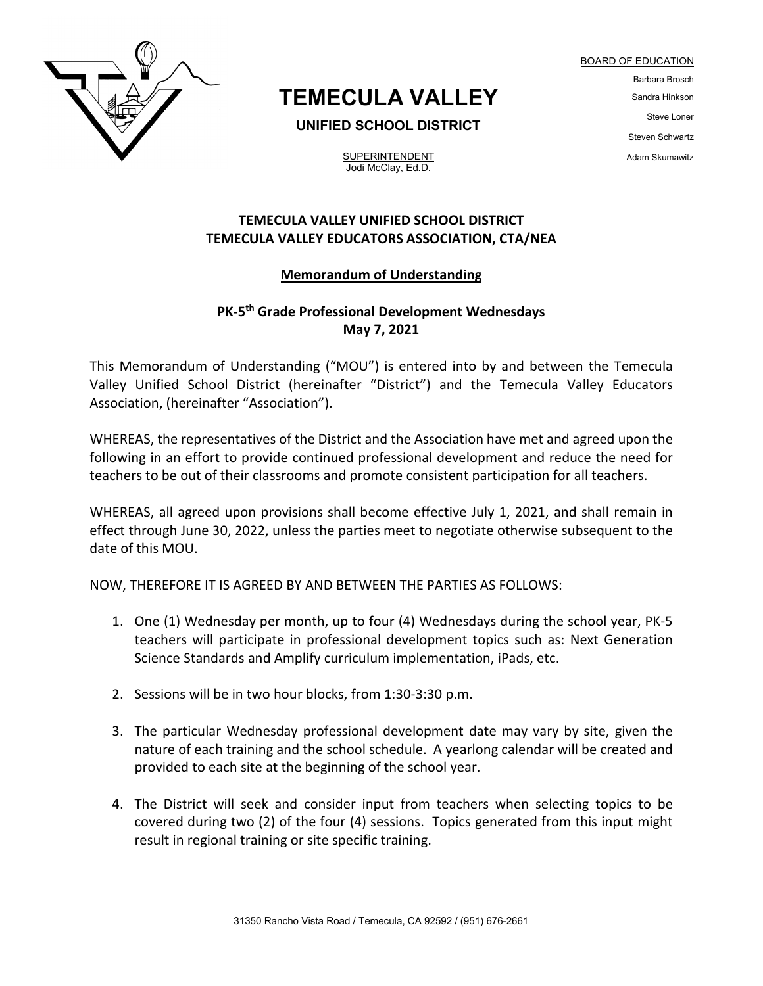

# **TEMECULA VALLEY**

**UNIFIED SCHOOL DISTRICT**

**SUPERINTENDENT** Jodi McClay, Ed.D.

## Barbara Brosch Sandra Hinkson Steve Loner Steven Schwartz Adam Skumawitz

BOARD OF EDUCATION

### **TEMECULA VALLEY UNIFIED SCHOOL DISTRICT TEMECULA VALLEY EDUCATORS ASSOCIATION, CTA/NEA**

#### **Memorandum of Understanding**

### **PK-5th Grade Professional Development Wednesdays May 7, 2021**

This Memorandum of Understanding ("MOU") is entered into by and between the Temecula Valley Unified School District (hereinafter "District") and the Temecula Valley Educators Association, (hereinafter "Association").

WHEREAS, the representatives of the District and the Association have met and agreed upon the following in an effort to provide continued professional development and reduce the need for teachers to be out of their classrooms and promote consistent participation for all teachers.

WHEREAS, all agreed upon provisions shall become effective July 1, 2021, and shall remain in effect through June 30, 2022, unless the parties meet to negotiate otherwise subsequent to the date of this MOU.

NOW, THEREFORE IT IS AGREED BY AND BETWEEN THE PARTIES AS FOLLOWS:

- 1. One (1) Wednesday per month, up to four (4) Wednesdays during the school year, PK-5 teachers will participate in professional development topics such as: Next Generation Science Standards and Amplify curriculum implementation, iPads, etc.
- 2. Sessions will be in two hour blocks, from 1:30-3:30 p.m.
- 3. The particular Wednesday professional development date may vary by site, given the nature of each training and the school schedule. A yearlong calendar will be created and provided to each site at the beginning of the school year.
- 4. The District will seek and consider input from teachers when selecting topics to be covered during two (2) of the four (4) sessions. Topics generated from this input might result in regional training or site specific training.